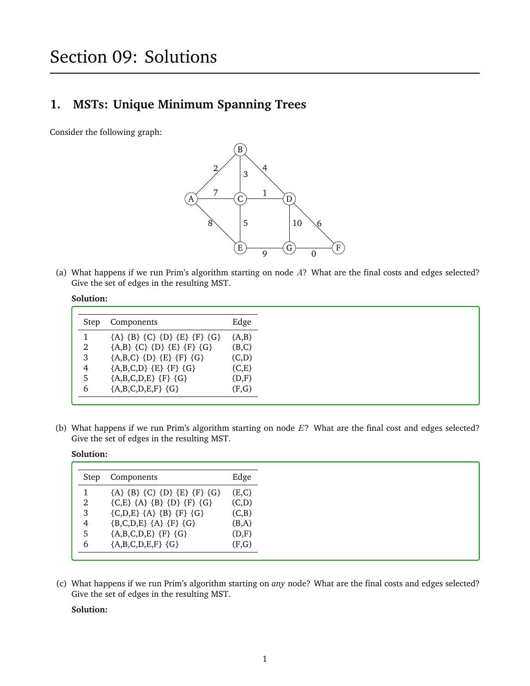# **1. MSTs: Unique Minimum Spanning Trees**

Consider the following graph:



(a) What happens if we run Prim's algorithm starting on node A? What are the final costs and edges selected? Give the set of edges in the resulting MST.

### **Solution:**

| Step | Components                    | Edge  |
|------|-------------------------------|-------|
|      | ${A} {B} {C} {D} {E} {F} {G}$ | (A,B) |
| 2    | ${A,B} {C} {D} {E} {F} {G}$   | (B,C) |
| 3    | ${A,B,C} {D} {E} {F} {G}$     | (C,D) |
| 4    | ${A,B,C,D} {E} {F} {G}$       | (C,E) |
| 5    | ${A,B,C,D,E}$ {F} {G}         | (D,F) |
| 6    | ${A,B,C,D,E,F}$ ${G}$         | (F,G) |

(b) What happens if we run Prim's algorithm starting on node  $E$ ? What are the final cost and edges selected? Give the set of edges in the resulting MST.

### **Solution:**

| Components                    | Edge  |
|-------------------------------|-------|
| ${A} {B} {C} {D} {E} {F} {G}$ | (E,C) |
| ${C, E} {A} {B} {D} {F} {G}$  | (C,D) |
| ${C,D,E} {A} {B} {F} {G}$     | (C,B) |
| ${B,C,D,E} {A} {F} {G}$       | (B,A) |
| ${A,B,C,D,E}$ {F} {G}         | (D,F) |
| ${A,B,C,D,E,F}$ ${G}$         | (F,G) |
|                               |       |

(c) What happens if we run Prim's algorithm starting on *any* node? What are the final costs and edges selected? Give the set of edges in the resulting MST.

# **Solution:**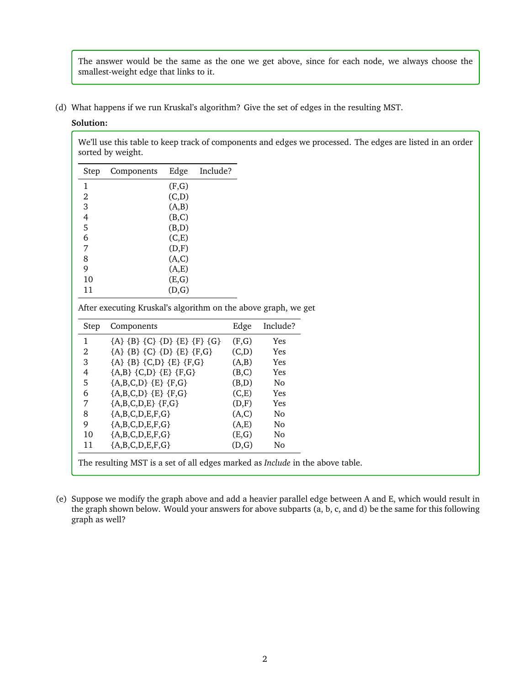The answer would be the same as the one we get above, since for each node, we always choose the smallest-weight edge that links to it.

(d) What happens if we run Kruskal's algorithm? Give the set of edges in the resulting MST.

### **Solution:**

We'll use this table to keep track of components and edges we processed. The edges are listed in an order sorted by weight.

| Step           | Components | Edge  | Include? |
|----------------|------------|-------|----------|
| 1              |            | (F,G) |          |
| 2              |            | (C,D) |          |
| $\overline{3}$ |            | (A,B) |          |
| 4              |            | (B,C) |          |
| 5              |            | (B,D) |          |
| 6              |            | (C,E) |          |
| 7              |            | (D,F) |          |
| 8              |            | (A,C) |          |
| 9              |            | (A,E) |          |
| 10             |            | (E,G) |          |
| 11             |            | (D,G) |          |

After executing Kruskal's algorithm on the above graph, we get

| Step | Components                    |       | Include?   |  |
|------|-------------------------------|-------|------------|--|
| 1    | ${A} {B} {C} {D} {E} {F} {G}$ | (F,G) | Yes        |  |
| 2    | ${A} {B} {C} {D} {E} {F,G}$   | (C,D) | <b>Yes</b> |  |
| 3    | ${A} {B} {C,D} {E} {F,G}$     | (A,B) | Yes        |  |
| 4    | ${A,B} {C,D} {E} {F,G}$       | (B,C) | Yes        |  |
| 5    | ${A,B,C,D} {E} {F,G}$         | (B,D) | No         |  |
| 6    | ${A,B,C,D} {E} {F,G}$         | (C,E) | Yes        |  |
| 7    | ${A,B,C,D,E}$ {F,G}           | (D,F) | <b>Yes</b> |  |
| 8    | ${A,B,C,D,E,F,G}$             | (A,C) | No         |  |
| 9    | ${A,B,C,D,E,F,G}$             | (A,E) | No         |  |
| 10   | ${A,B,C,D,E,F,G}$             | (E,G) | No         |  |
| 11   | ${A,B,C,D,E,F,G}$             | (D,G) | No         |  |

The resulting MST is a set of all edges marked as *Include* in the above table.

(e) Suppose we modify the graph above and add a heavier parallel edge between A and E, which would result in the graph shown below. Would your answers for above subparts (a, b, c, and d) be the same for this following graph as well?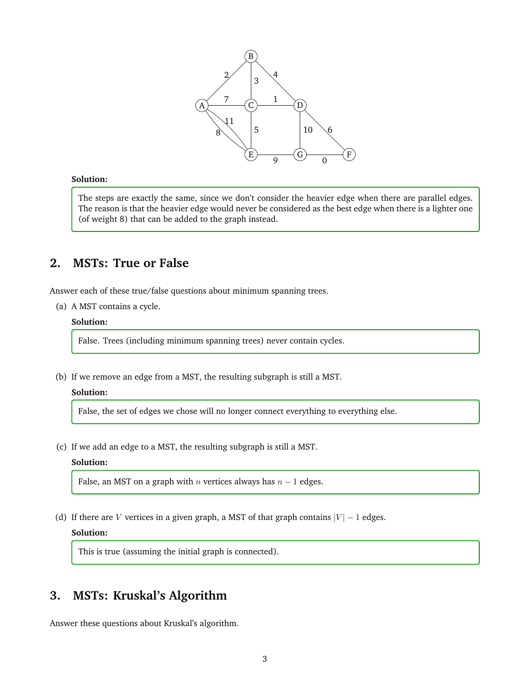

### **Solution:**

The steps are exactly the same, since we don't consider the heavier edge when there are parallel edges. The reason is that the heavier edge would never be considered as the best edge when there is a lighter one (of weight 8) that can be added to the graph instead.

# **2. MSTs: True or False**

Answer each of these true/false questions about minimum spanning trees.

(a) A MST contains a cycle.

#### **Solution:**

False. Trees (including minimum spanning trees) never contain cycles.

(b) If we remove an edge from a MST, the resulting subgraph is still a MST.

### **Solution:**

False, the set of edges we chose will no longer connect everything to everything else.

(c) If we add an edge to a MST, the resulting subgraph is still a MST.

# **Solution:**

False, an MST on a graph with  $n$  vertices always has  $n - 1$  edges.

(d) If there are V vertices in a given graph, a MST of that graph contains  $|V| - 1$  edges.

### **Solution:**

This is true (assuming the initial graph is connected).

# **3. MSTs: Kruskal's Algorithm**

Answer these questions about Kruskal's algorithm.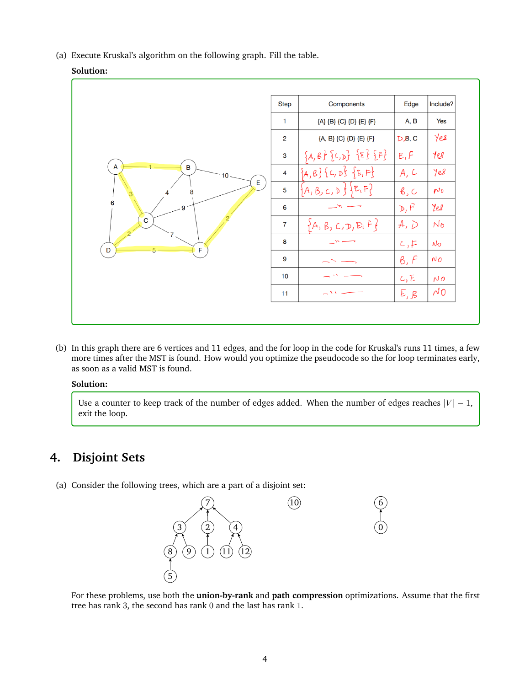(a) Execute Kruskal's algorithm on the following graph. Fill the table.

# **Solution:**

|                                                            | <b>Step</b>    | Components                  | Edge          | Include?          |
|------------------------------------------------------------|----------------|-----------------------------|---------------|-------------------|
| A<br>$\mathbf B$<br>10<br>E<br>8<br>6<br>9<br>$\mathbf{C}$ | $\mathbf{1}$   | {A} {B} {C} {D} {E} {F}     | A, B          | Yes               |
|                                                            | 2              | {A, B} {C} {D} {E} {F}      | $D$ $B$ , C   | Yes               |
|                                                            | 3              | ${A,B}$ ${C,D}$ ${E}$ ${F}$ | E, F          | 10 <sup>2</sup>   |
|                                                            | 4              | ${A,B}$ { $C, D$ } ${E,F}$  | A, C          | Yes               |
|                                                            | 5              | $\{A, B, C, D\}$ $E, F$     | $\beta$ , $C$ | $N_{\mathcal{D}}$ |
|                                                            | 6              |                             | D, F          | Yes               |
|                                                            | $\overline{7}$ | ${A, B, C, D, E, F}$        | A, D          | $N_{\sigma}$      |
|                                                            | 8              |                             | c, F          | $N_{\mathcal{D}}$ |
| $\mathsf F$<br>D                                           | 9              |                             | B, F          | NO                |
|                                                            | 10             |                             | C, E          | NO                |
|                                                            | 11             | $\mathbf{r}$                | E, B          | $\sim$ 0          |

(b) In this graph there are 6 vertices and 11 edges, and the for loop in the code for Kruskal's runs 11 times, a few more times after the MST is found. How would you optimize the pseudocode so the for loop terminates early, as soon as a valid MST is found.

### **Solution:**

Use a counter to keep track of the number of edges added. When the number of edges reaches  $|V| - 1$ , exit the loop.

# **4. Disjoint Sets**

(a) Consider the following trees, which are a part of a disjoint set:



For these problems, use both the **union-by-rank** and **path compression** optimizations. Assume that the first tree has rank 3, the second has rank 0 and the last has rank 1.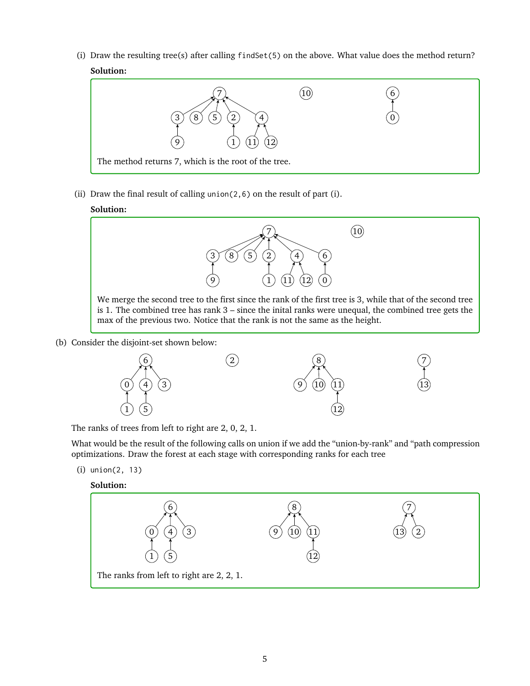(i) Draw the resulting tree(s) after calling findSet(5) on the above. What value does the method return? **Solution:**



(ii) Draw the final result of calling union( $2,6$ ) on the result of part (i).

# **Solution:**



(b) Consider the disjoint-set shown below:



The ranks of trees from left to right are 2, 0, 2, 1.

What would be the result of the following calls on union if we add the "union-by-rank" and "path compression optimizations. Draw the forest at each stage with corresponding ranks for each tree

(i) union(2, 13)

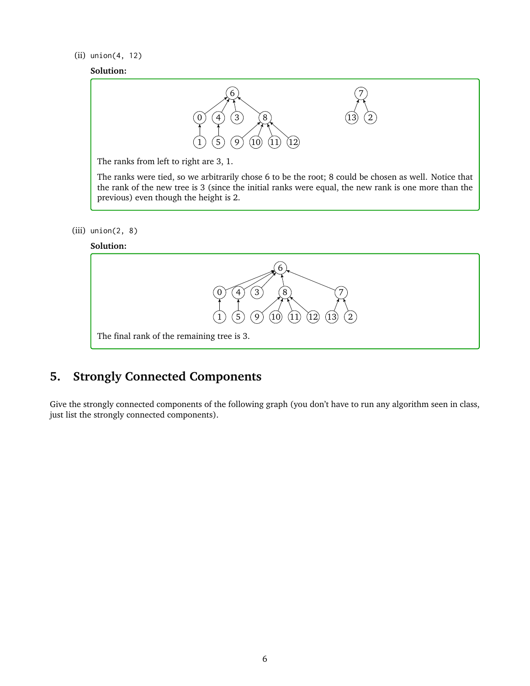### (ii) union(4, 12)

### **Solution:**



The ranks from left to right are 3, 1.

The ranks were tied, so we arbitrarily chose 6 to be the root; 8 could be chosen as well. Notice that the rank of the new tree is 3 (since the initial ranks were equal, the new rank is one more than the previous) even though the height is 2.

(iii) union(2, 8)





# **5. Strongly Connected Components**

Give the strongly connected components of the following graph (you don't have to run any algorithm seen in class, just list the strongly connected components).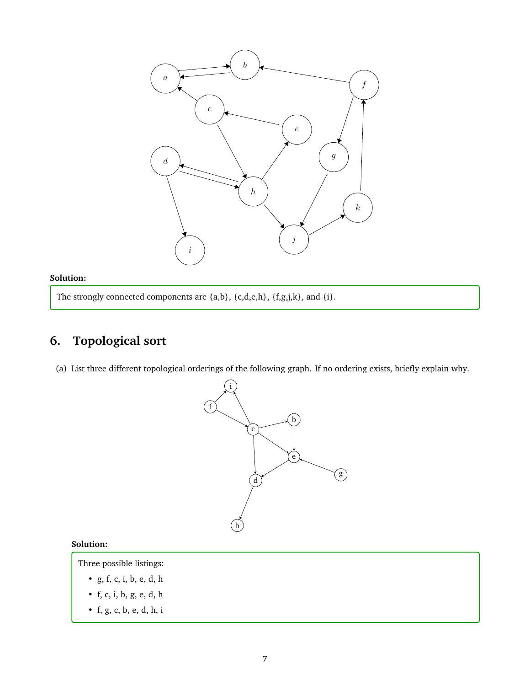

# **Solution:**

The strongly connected components are  $\{a,b\}$ ,  $\{c,d,e,h\}$ ,  $\{f,g,j,k\}$ , and  $\{i\}$ .

# **6. Topological sort**

(a) List three different topological orderings of the following graph. If no ordering exists, briefly explain why.



# **Solution:**

Three possible listings:

- g, f, c, i, b, e, d, h
- f, c, i, b, g, e, d, h
- f, g, c, b, e, d, h, i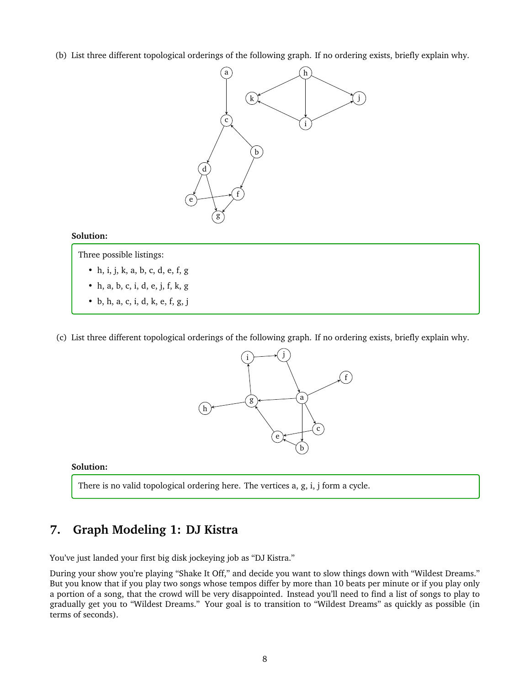(b) List three different topological orderings of the following graph. If no ordering exists, briefly explain why.



### **Solution:**

Three possible listings:

- h, i, j, k, a, b, c, d, e, f, g
- h, a, b, c, i, d, e, j, f, k, g
- b, h, a, c, i, d, k, e, f, g, j
- (c) List three different topological orderings of the following graph. If no ordering exists, briefly explain why.



# **Solution:**

There is no valid topological ordering here. The vertices a, g, i, j form a cycle.

# **7. Graph Modeling 1: DJ Kistra**

You've just landed your first big disk jockeying job as "DJ Kistra."

During your show you're playing "Shake It Off," and decide you want to slow things down with "Wildest Dreams." But you know that if you play two songs whose tempos differ by more than 10 beats per minute or if you play only a portion of a song, that the crowd will be very disappointed. Instead you'll need to find a list of songs to play to gradually get you to "Wildest Dreams." Your goal is to transition to "Wildest Dreams" as quickly as possible (in terms of seconds).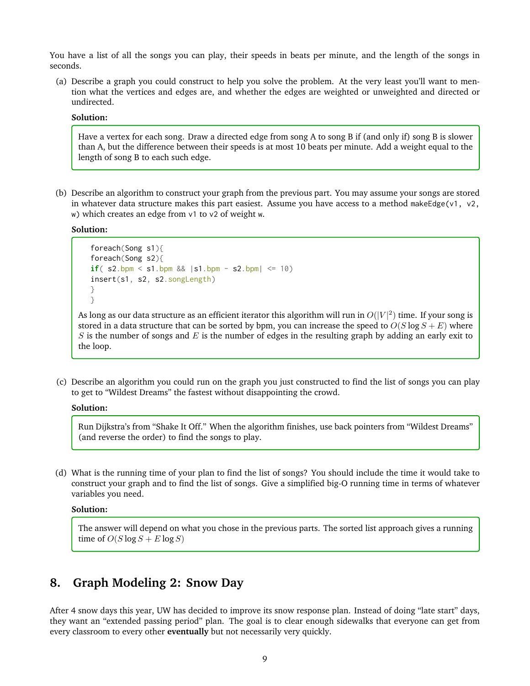You have a list of all the songs you can play, their speeds in beats per minute, and the length of the songs in seconds.

(a) Describe a graph you could construct to help you solve the problem. At the very least you'll want to mention what the vertices and edges are, and whether the edges are weighted or unweighted and directed or undirected.

#### **Solution:**

Have a vertex for each song. Draw a directed edge from song A to song B if (and only if) song B is slower than A, but the difference between their speeds is at most 10 beats per minute. Add a weight equal to the length of song B to each such edge.

(b) Describe an algorithm to construct your graph from the previous part. You may assume your songs are stored in whatever data structure makes this part easiest. Assume you have access to a method makeEdge(v1, v2, w) which creates an edge from v1 to v2 of weight w.

**Solution:**

```
foreach(Song s1){
foreach(Song s2){
if( s2.bpm \le s1.bpm \&\& | s1.bpm - s2.bpm| \le 10)
insert(s1, s2, s2.songLength)
}
}
```
As long as our data structure as an efficient iterator this algorithm will run in  $O(|V|^2)$  time. If your song is stored in a data structure that can be sorted by bpm, you can increase the speed to  $O(S \log S + E)$  where S is the number of songs and E is the number of edges in the resulting graph by adding an early exit to the loop.

(c) Describe an algorithm you could run on the graph you just constructed to find the list of songs you can play to get to "Wildest Dreams" the fastest without disappointing the crowd.

#### **Solution:**

Run Dijkstra's from "Shake It Off." When the algorithm finishes, use back pointers from "Wildest Dreams" (and reverse the order) to find the songs to play.

(d) What is the running time of your plan to find the list of songs? You should include the time it would take to construct your graph and to find the list of songs. Give a simplified big-O running time in terms of whatever variables you need.

**Solution:**

The answer will depend on what you chose in the previous parts. The sorted list approach gives a running time of  $O(S \log S + E \log S)$ 

# **8. Graph Modeling 2: Snow Day**

After 4 snow days this year, UW has decided to improve its snow response plan. Instead of doing "late start" days, they want an "extended passing period" plan. The goal is to clear enough sidewalks that everyone can get from every classroom to every other **eventually** but not necessarily very quickly.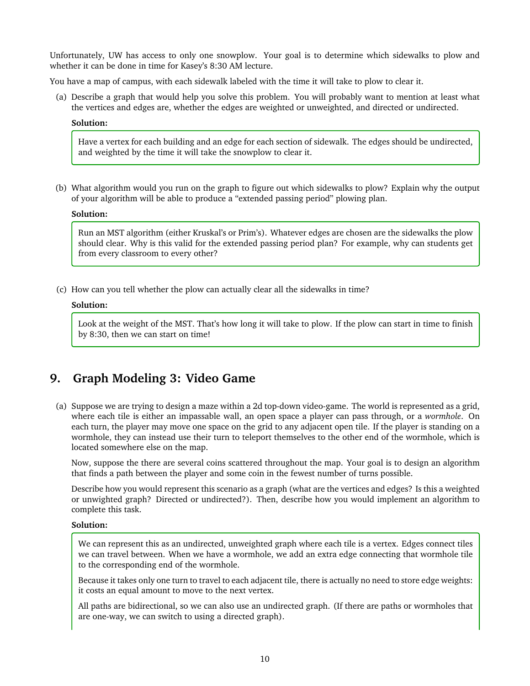Unfortunately, UW has access to only one snowplow. Your goal is to determine which sidewalks to plow and whether it can be done in time for Kasey's 8:30 AM lecture.

You have a map of campus, with each sidewalk labeled with the time it will take to plow to clear it.

(a) Describe a graph that would help you solve this problem. You will probably want to mention at least what the vertices and edges are, whether the edges are weighted or unweighted, and directed or undirected.

### **Solution:**

Have a vertex for each building and an edge for each section of sidewalk. The edges should be undirected, and weighted by the time it will take the snowplow to clear it.

(b) What algorithm would you run on the graph to figure out which sidewalks to plow? Explain why the output of your algorithm will be able to produce a "extended passing period" plowing plan.

#### **Solution:**

Run an MST algorithm (either Kruskal's or Prim's). Whatever edges are chosen are the sidewalks the plow should clear. Why is this valid for the extended passing period plan? For example, why can students get from every classroom to every other?

(c) How can you tell whether the plow can actually clear all the sidewalks in time?

### **Solution:**

Look at the weight of the MST. That's how long it will take to plow. If the plow can start in time to finish by 8:30, then we can start on time!

# **9. Graph Modeling 3: Video Game**

(a) Suppose we are trying to design a maze within a 2d top-down video-game. The world is represented as a grid, where each tile is either an impassable wall, an open space a player can pass through, or a *wormhole*. On each turn, the player may move one space on the grid to any adjacent open tile. If the player is standing on a wormhole, they can instead use their turn to teleport themselves to the other end of the wormhole, which is located somewhere else on the map.

Now, suppose the there are several coins scattered throughout the map. Your goal is to design an algorithm that finds a path between the player and some coin in the fewest number of turns possible.

Describe how you would represent this scenario as a graph (what are the vertices and edges? Is this a weighted or unwighted graph? Directed or undirected?). Then, describe how you would implement an algorithm to complete this task.

### **Solution:**

We can represent this as an undirected, unweighted graph where each tile is a vertex. Edges connect tiles we can travel between. When we have a wormhole, we add an extra edge connecting that wormhole tile to the corresponding end of the wormhole.

Because it takes only one turn to travel to each adjacent tile, there is actually no need to store edge weights: it costs an equal amount to move to the next vertex.

All paths are bidirectional, so we can also use an undirected graph. (If there are paths or wormholes that are one-way, we can switch to using a directed graph).